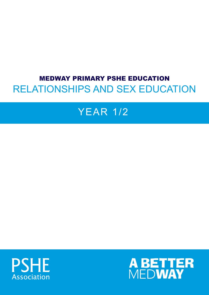# MEDWAY PRIMARY PSHE EDUCATION RELATIONSHIPS AND SEX EDUCATION

# YEAR 1/2



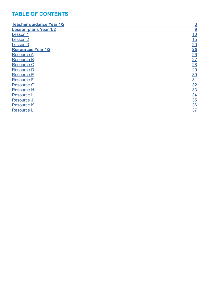## **TABLE OF CONTENTS**

| <b>Teacher quidance Year 1/2</b> | $\overline{3}$ |
|----------------------------------|----------------|
| <b>Lesson plans Year 1/2</b>     | 9              |
| <b>Lesson 1</b>                  | 10             |
| Lesson 2                         | 15             |
| Lesson 3                         | 20             |
| <b>Resources Year 1/2</b>        | 25             |
| <b>Resource A</b>                | 26             |
| <b>Resource B</b>                | 27             |
| <b>Resource C</b>                | <u>28</u>      |
| <b>Resource D</b>                | 29             |
| <b>Resource E</b>                | <u>30</u>      |
| <b>Resource F</b>                | 31             |
| <b>Resource G</b>                | 32             |
| <b>Resource H</b>                | <u>33</u>      |
| <b>Resource I</b>                | <u>34</u>      |
| Resource J                       | 35             |
| <b>Resource K</b>                | $\frac{36}{5}$ |
| <b>Resource L</b>                | 37             |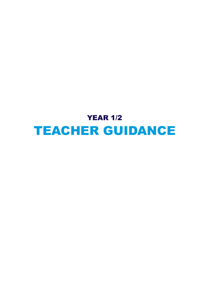# <span id="page-2-0"></span>**YEAR 1/2** TEACHER GUIDANCE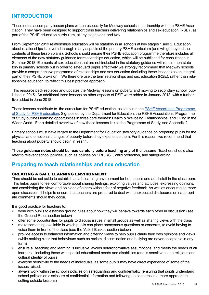## **INTRODUCTION**

These notes accompany lesson plans written especially for Medway schools in partnership with the PSHE Association. They have been designed to support class teachers delivering relationships and sex education (RSE) , as part of the PSHE education curriculum, at key stages one and two.

From September 2019 relationships education will be statutory in all schools at key stages 1 and 2. Education about relationships is covered through many aspects of the primary PSHE curriculum (and will go beyond the contents of these lesson plans). Schools should ensure their PSHE education programme therefore includes all elements of the new statutory guidance for relationships education, which will be published for consultation in Summer 2018. Elements of sex education that are not included in the statutory guidance will remain non-statutory in primary schools but in order to safeguard pupils effectively we strongly recommend that Medway schools provide a comprehensive programme of relationships and sex education (including these lessons) as an integral part of their PSHE provision. We therefore use the term relationships and sex education (RSE), rather than relationships education, to reflect this best practice approach.

This resource pack replaces and updates the Medway lessons on puberty and moving to secondary school, published in 2015. An additional three lessons on other aspects of RSE were added in January 2018, with a further five added in June 2018.

These lessons contribute to the curriculum for PSHE education, as set out in the [PSHE Association Programme](https://www.pshe-association.org.uk/curriculum-and-resources/resources/programme-study-pshe-education-key-stages-1%E2%80%935)  [of Study for PSHE education](https://www.pshe-association.org.uk/curriculum-and-resources/resources/programme-study-pshe-education-key-stages-1%E2%80%935). Signposted by the Department for Education, the PSHE Association's Programme of Study outlines learning opportunities in three core themes: Health & Wellbeing, Relationships, and Living in the Wider World. For a detailed overview of how these lessons link to the Programme of Study, see Appendix 2.

Primary schools must have regard to the Department for Education statutory guidance on preparing pupils for the physical and emotional changes of puberty before they experience them. For this reason, we recommend that teaching about puberty should begin in Year 4.

**These guidance notes should be read carefully before teaching any of the lessons.** Teachers should also refer to relevant school policies, such as policies on SRE/RSE, child protection, and safeguarding.

## **Preparing to teach relationships and sex education**

#### CREATING A SAFE LEARNING ENVIRONMENT

Time should be set aside to establish a safe learning environment for both pupils and adult staff in the classroom. This helps pupils to feel comfortable about sharing feelings, exploring values and attitudes, expressing opinions, and considering the views and opinions of others without fear of negative feedback. As well as encouraging more open discussion, it helps to ensure that teachers are prepared to deal with unexpected disclosures or inappropriate comments should they occur.

It is good practice for teachers to:

- work with pupils to establish ground rules about how they will behave towards each other in discussion (see the Ground Rules section below)
- offer some opportunities for pupils to discuss issues in small groups as well as sharing views with the class
- make something available in which pupils can place anonymous questions or concerns, to avoid having to voice them in front of the class (see the 'Ask-it Basket' section below)
- provide access to balanced information and differing views to help pupils clarify their own opinions and views (while making clear that behaviours such as racism, discrimination and bullying are never acceptable in any form)
- ensure all teaching and learning is inclusive, avoids heteronormative assumptions, and meets the needs of all learners—including those with special educational needs and disabilities (and is sensitive to the religious and cultural identity of pupils
- exercise sensitivity to the needs of individuals, as some pupils may have direct experience of some of the issues raised.
- always work within the school's policies on safeguarding and confidentiality (ensuring that pupils understand school policies on disclosure of confidential information and following up concerns in a more appropriate setting outside lessons)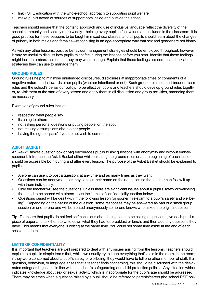- link PSHE education with the whole-school approach to supporting pupil welfare
- make pupils aware of sources of support both inside and outside the school

Teachers should ensure that the content, approach and use of inclusive language reflect the diversity of the school community and society more widely—helping every pupil to feel valued and included in the classroom. It is good practice for these sessions to be taught in mixed-sex classes, and all pupils should learn about the changes of puberty in both males and females—recognising in an age-appropriate way that sex and gender are not binary.

As with any other lessons, positive behaviour management strategies should be employed throughout, however it may be useful to discuss how pupils might feel during the lessons before you start. Identify that these feelings might include embarrassment, or they may want to laugh. Explain that these feelings are normal and talk about strategies they can use to manage them.

#### **GROUND RULES**

Ground rules help to minimise unintended disclosures, disclosures at inappropriate times or comments of a negative nature made towards other pupils (whether intentional or not). Such ground rules support broader class rules and the school's behaviour policy. To be effective, pupils and teachers should develop ground rules together, re-visit them at the start of every lesson and apply them in all discussion and group activities, amending them as necessary.

Examples of ground rules include:

- respecting what people say
- listening to others
- not asking personal questions or putting people 'on the spot'
- not making assumptions about other people
- having the right to 'pass' if you do not wish to comment

#### **ASK-IT BASKET**

An 'Ask-it Basket' question box or bag encourages pupils to ask questions with anonymity and without embarrassment. Introduce the Ask-it Basket either whilst creating the ground rules or at the beginning of each lesson. It should be accessible both during and after every lesson. The purpose of the Ask-it Basket should be explained to pupils:

- Anyone can use it to post a question, at any time and as many times as they want.
- Questions can be anonymous, or they can put their name on their question so the teacher can follow it up with them individually.
- Only the teacher will see the questions, unless there are significant issues about a pupil's safety or wellbeing that need to be shared with others—see the 'Limits of confidentiality' section below.
- Questions raised will be dealt with in the following lesson (or sooner if relevant to a pupil's safety and wellbeing). Depending on the nature of the question, some responses may be answered as part of a small group session or one-to-one and will be treated anonymously so no-one knows who asked the original question.

**Tip:** To ensure that pupils do not feel self-conscious about being seen to be asking a question, give each pupil a piece of paper and ask them to write down what they had for breakfast or lunch, and then add any questions they have. This means that everyone is writing at the same time. You could set some time aside at the end of each session to do this.

#### **LIMITS OF CONFIDENTIALITY**

It is important that teachers are well prepared to deal with any issues arising from the lessons. Teachers should explain to pupils in simple terms that, whilst we usually try to keep everything that's said in the room, in the room; if they were concerned about a pupil's safety or wellbeing, they would have to tell one other member of staff. If a question, behaviour, or language arises that a teacher finds concerning, this should be discussed with the designated safeguarding lead—in line with the school's safeguarding and child protection policies. Any situation which indicates knowledge about sex or sexual activity which is inappropriate for the pupil's age should be addressed. There may be times when a question raised by a pupil should be referred to parents/carers (the school RSE pol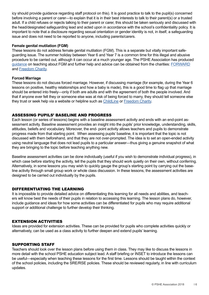icy should provide guidance regarding staff protocol on this). It is good practice to talk to the pupil(s) concerned before involving a parent or carer—to explain that it is in their best interests to talk to their parent(s) or a trusted adult. If a child refuses or rejects talking to their parent or carer, this should be taken seriously and discussed with the head/designated safeguarding lead and acted upon in accordance with the school's confidentiality policy. It is important to note that a disclosure regarding sexual orientation or gender identity is not, in itself, a safeguarding issue and does not need to be reported to anyone, including parents/carers.

#### **Female genital mutilation (FGM)**

These lessons do not address female genital mutilation (FGM). This is a separate but vitally important safeguarding issue. The summer holiday between Year 6 and Year 7 is a common time for this illegal and abusive procedure to be carried out, although it can occur at a much younger age. The PSHE Association has produced [guidance](https://www.pshe-association.org.uk/curriculum-and-resources/resources/information-sheet-addressing-fgm-schools?CategoryID=1193&ArticleID=1139) on teaching about FGM and further help and advice can be obtained from the charities: [FORWARD](http://forwarduk.org.uk/key-issues/fgm/) and [Freedom Charity](https://www.freedomcharity.org.uk/).

#### **Forced Marriage**

These lessons do not discuss forced marriage. However, if discussing marriage (for example, during the Year 6 lessons on positive, healthy relationships and how a baby is made), this is a good time to flag up that marriage should be entered into freely—only if both are adults and with the agreement of both the people involved. And that if anyone ever felt they or someone else was at risk of being forced to marry, they should tell someone else they trust or seek help via a website or helpline such as [ChildLine](http://www.childline.org.uk/) or [Freedom Charity.](https://www.freedomcharity.org.uk/)

#### ASSESSING PUPILS' BASELINE AND PROGRESS

Each lesson (or series of lessons) begins with a baseline assessment activity and ends with an end-point assessment activity. Baseline assessment provides an insight into the pupils' prior knowledge, understanding, skills, attitudes, beliefs and vocabulary. Moreover, the end- point activity allows teachers and pupils to demonstrate progress made from that starting point. When assessing pupils' baseline, it is important that the topic is not discussed with them beforehand, and that they are not over-prompted. The idea is to set an open-ended activity using neutral language that does not lead pupils to a particular answer—thus giving a genuine snapshot of what they are bringing to the topic before teaching anything new.

Baseline assessment activities can be done individually (useful if you wish to demonstrate individual progress), in which case before starting the activity, tell the pupils that they should work quietly on their own, without conferring. Alternatively, in some lessons you may wish to quickly gauge the group's starting point by carrying out the baseline activity through small group work or whole class discussion. In these lessons, the assessment activities are designed to be carried out individually by the pupils.

#### DIFFERENTIATING THE LEARNING

It is impossible to provide detailed advice on differentiating this learning for all needs and abilities, and teachers will know best the needs of their pupils in relation to accessing this learning. The lesson plans do, however, include guidance and ideas for how some activities can be differentiated for pupils who may require additional support or additional challenge to further develop their thinking.

#### EXTENSION ACTIVITIES

Ideas are provided for extension activities. These can be provided for pupils who complete activities quickly or alternatively, can be used as a class activity to further deepen and extend pupils' learning.

#### SUPPORTING STAFF

Teachers should look over the lesson plans before using them in class. They may like to discuss the lessons in more detail with the school PSHE education subject lead. A staff briefing or INSET to introduce the lessons can be useful—especially when teaching these lessons for the first time. Lessons should be taught within the context of the school policies, including the SRE/RSE policies. These should be reviewed regularly, in line with curriculum updates.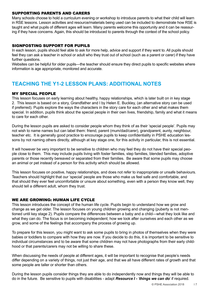#### SUPPORTING PARENTS AND CARERS

Many schools choose to hold a curriculum evening or workshop to introduce parents to what their child will learn in RSE lessons. Lesson activities and resource/materials being used can be included to demonstrate how RSE is taught and what pupils of different ages will learn. Many parents welcome this opportunity and it can be reassuring if they have concerns. Again, this should be introduced to parents through the context of the school policy.

#### SIGNPOSTING SUPPORT FOR PUPILS

In each lesson, pupils should feel able to ask for more help, advice and support if they want to. All pupils should feel they can ask a teacher in school or adult who they trust out of school (such as a parent or carer) if they have further questions.

Websites can be helpful for older pupils—the teacher should ensure they direct pupils to specific websites where information is age appropriate, monitored and accurate.

## **TEACHING THE Y1-2 LESSON PLANS: ADDITIONAL NOTES**

#### MY SPECIAL PEOPLE

This lesson focuses on early learning about healthy, happy relationships, which is later built on in key stage 2. This lesson is based on a story, Grandfather and I by Helen E. Buckley, (an alternative story can be used if preferred). Pupils explore the ways the characters in the story care for each other and what makes them special. In addition, pupils think about the special people in their own lives, friendship, family and what it means to care for each other.

During the lesson pupils are asked to consider people whom they think of as their 'special people'. Pupils may not wish to name names but can label them: friend, parent (mum/dad/carer), grandparent, aunty, neighbour, teacher etc. It is generally good practice to encourage pupils to keep confidentiality in PSHE education lessons by not naming others directly, although at key stage one, for this activity in particular, this is not essential.

It will however be very important to be sensitive to children who may feel they do not have their special people close to them. This may include pupils living with foster families, step families, blended families, adoptive parents or those recently bereaved or separated from their families. Be aware that some pupils may choose an animal or pet instead of a person for this activity which should be allowed.

This lesson focuses on positive, happy relationships, and does not refer to inappropriate or unsafe behaviours. Teachers should highlight that our 'special' people are those who make us feel safe and comfortable, and that should they ever feel uncomfortable or unsure about something, even with a person they know well, they should tell a different adult, whom they trust.

#### WE ARE GROWING: HUMAN LIFE CYCLE

This lesson introduces the concept of the human life cycle. Pupils begin to understand how we grow and change as we get older. The lesson focuses on young children growing and changing (puberty is not mentioned until key stage 2). Pupils compare the differences between a baby and a child—what they look like and what they can do. The focus is on becoming independent; how we look after ourselves and each other as we grow, and some of the feelings that accompany the process of growing up.

To prepare for this lesson, you might want to ask some pupils to bring in photos of themselves when they were babies or toddlers to compare with how they are now. If you decide to do this, it is important to be sensitive to individual circumstances and to be aware that some children may not have photographs from their early childhood or that parents/carers may not be willing to share these.

When discussing the needs of people at different ages, it will be important to recognise that people's needs differ depending on a variety of things, not just their age, and that we all have different rates of growth and that some people are taller or shorter than others.

During the lesson pupils consider things they are able to do independently now and things they will be able to do in the future. Be sensitive to pupils with disabilities - adapt *Resource I - 'things we can do*' if required.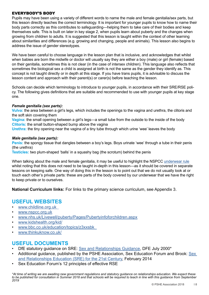#### EVERYBODY'S BODY

Pupils may have been using a variety of different words to name the male and female genitalia/sex parts, but this lesson directly teaches the correct terminology. It is important for younger pupils to know how to name their body parts correctly as this contributes to safeguarding—helping them to take care of their bodies and keep themselves safe. This is built on later in key stage 2, when pupils learn about puberty and the changes when growing from children to adults. It is suggested that this lesson is taught within the context of other learning about similarities and differences (e.g. growing and changing, people and animals). This lesson also begins to address the issue of gender stereotypes.

We have been careful to choose language in the lesson plan that is inclusive, and acknowledges that whilst when babies are born the midwife or doctor will usually say they are either a boy (male) or girl (female) based on their genitalia, sometimes this is not clear (in the case of intersex children). This language also reflects that sometimes the biological sex a child is assigned at birth is not the same as the gender they identify as. This concept is not taught directly or in depth at this stage. If you have trans pupils, it is advisable to discuss the lesson content and approach with their parent(s) or carer(s) before teaching the lesson.

Schools can decide which terminology to introduce to younger pupils, in accordance with their SRE/RSE policy. The following gives definitions that are suitable and recommended to use with younger pupils at key stage one.

#### *Female genitalia (sex parts):*

**Vulva:** the area between a girl's legs, which includes the openings to the vagina and urethra, the clitoris and the soft skin covering them

**Vagina:** the small opening between a girl's legs—a small tube from the outside to the inside of the body **Clitoris:** the small button-shaped bump above the vagina

**Urethra:** the tiny opening near the vagina of a tiny tube through which urine 'wee' leaves the body

#### *Male genitalia (sex parts):*

**Penis:** the spongy tissue that dangles between a boy's legs. Boys urinate 'wee' through a tube in their penis (the urethra)

**Testicles:** two plum-shaped 'balls' in a squashy bag (the scrotum) behind the penis

When talking about the male and female genitalia, it may be useful to highlight the NSPCC [underwear rule](https://www.nspcc.org.uk/preventing-abuse/keeping-children-safe/underwear-rule/) whilst noting that this does not need to be taught in-depth in this lesson—as it should be covered in separate lessons on keeping safe. One way of doing this in the lesson is to point out that we do not usually look at or touch each other's private parts: these are parts of the body covered by our underwear that we have the right to keep private or to ourselves.

**National Curriculum links:** For links to the primary science curriculum, see Appendix 3.

### **USEFUL WEBSITES**

- [www.childline.org.uk](http://www.childline.org.uk  )
- [www.nspcc.org.uk](http://www.nspcc.org.uk)
- [www.nhs.uk/Livewell/puberty/Pages/Pubertyinfoforchildren.aspx](http://www.nhs.uk/Livewell/puberty/Pages/Pubertyinfoforchildren.aspx )
- [www.kidshealth.org/kid/](http://www.kidshealth.org/kid/)
- [www.bbc.co.uk/education/topics/z3xxsbk](http://www.bbc.co.uk/education/topics/z3xxsbk  )
- [www.thinkuknow.co.uk/](http://www.thinkuknow.co.uk/)

### **USEFUL DOCUMENTS**

- DfE statutory guidance on SRE: [Sex and Relationships Guidance,](https://www.gov.uk/government/uploads/system/uploads/attachment_data/file/283599/sex_and_relationship_education_guidance.pdf) DFE July 2000\*
- Additional guidance, published by the PSHE Association, Sex Education Forum and Brook: [Sex](https://pshe-association.org.uk/resources_search_details.aspx?ResourceId=526&Keyword=&SubjectID=0&LevelID=0&ResourceTypeID=3&SuggestedUseID=0)  [and Relationships Education \(SRE\) for the 21st Century,](https://pshe-association.org.uk/resources_search_details.aspx?ResourceId=526&Keyword=&SubjectID=0&LevelID=0&ResourceTypeID=3&SuggestedUseID=0) February 2014
- Sex Education Forum's 12 principles of effective RSE

*\*At time of writing we are awaiting new government regulations and statutory guidance on relationships education. We expect these to be published for consultation in Summer 2018 and that schools will be required to teach in line with this guidance from September 2019*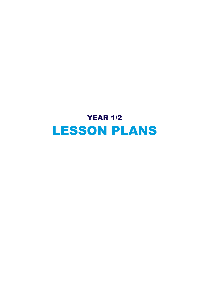<span id="page-8-0"></span>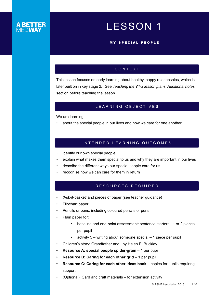# LESSON 1

#### MY SPECIAL PEOPLE

#### CONTEXT

<span id="page-9-0"></span>This lesson focuses on early learning about healthy, happy relationships, which is later built on in key stage 2. See *Teaching the Y1-2 lesson plans: Additional notes*  section before teaching the lesson.

#### LEARNING OBJECTIVES

We are learning:

• about the special people in our lives and how we care for one another

#### INTENDED LEARNING OUTCOMES

- identify our own special people
- explain what makes them special to us and why they are important in our lives
- describe the different ways our special people care for us
- recognise how we can care for them in return

#### RESOURCES REQUIRED

- *• '*Ask-it-basket' and pieces of paper (see teacher guidance)
- Flipchart paper
- Pencils or pens, including coloured pencils or pens
- Plain paper for:
	- baseline and end-point assessment: sentence starters 1 or 2 pieces per pupil
	- activity 5 writing about someone special 1 piece per pupil
- Children's story: Grandfather and I by Helen E. Buckley
- **• Resource A: special people spider-gram** 1 per pupil
- **Resource B: Caring for each other grid 1 per pupil**
- **• Resource C: Caring for each other ideas bank**  copies for pupils requiring support
- (Optional): Card and craft materials for extension activity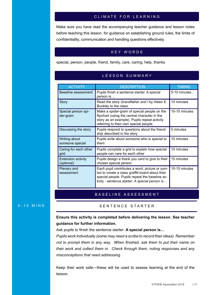#### CLIMATE FOR LEARNING

Make sure you have read the accompanying teacher guidance and lesson notes before teaching this lesson, for guidance on establishing ground rules, the limits of confidentiality, communication and handling questions effectively.

#### KEY WORDS

special, person, people, friend, family, care, caring, help, thanks

#### LESSON SUMMARY

| <b>ACTIVITY</b>                         | <b>DESCRIPTION</b>                                                                                                                                                                                     | <b>TIMING</b> |
|-----------------------------------------|--------------------------------------------------------------------------------------------------------------------------------------------------------------------------------------------------------|---------------|
| Baseline assessment                     | Pupils finish a sentence starter: A special<br>person is                                                                                                                                               | 5-10 minutes  |
| <b>Story</b>                            | Read the story Grandfather and I by Helen E.<br>Buckley to the class                                                                                                                                   | 10 minutes    |
| Special person spi-<br>der-gram         | Make a spider-gram of special people on the<br>flipchart (using the central character in the<br>story as an example). Pupils repeat activity<br>referring to their own special people.                 | 10-15 minutes |
| Discussing the story                    | Pupils respond to questions about the friend-<br>ship described in the story                                                                                                                           | 5 minutes     |
| Writing about<br>someone special        | Pupils write about someone who is special to<br>them                                                                                                                                                   | 10 minutes    |
| Caring for each other<br>grid           | Pupils complete a grid to explain how special<br>people can care for each other                                                                                                                        | 10 minutes    |
| <b>Extension activity</b><br>(optional) | Pupils design a thank you card to give to their<br>chosen special person                                                                                                                               | 15 minutes    |
| Plenary and<br>assessment               | Each pupil contributes a word, picture or sym-<br>bol to create a class graffiti board about their<br>special people. Pupils repeat the baseline ac-<br>tivity - sentence starter: A special person is | 10-15 minutes |

#### BASELINE ASSESSMENT

#### 5-15 MINS SENTENCE STARTER

### **Ensure this activity is completed before delivering the lesson. See teacher guidance for further information.**

Ask pupils to finish the sentence starter: **A special person is…** 

*Pupils work individually (some may need a scribe to record their ideas). Remember not to prompt them in any way. When finished, ask them to put their name on their work and collect them in. Check through them, noting responses and any misconceptions that need addressing.*

Keep their work safe—these will be used to assess learning at the end of the lesson.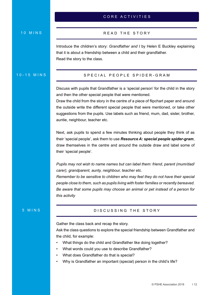#### CORE ACTIVITIES

#### 10 MINS

#### READ THE STORY

Introduce the children's story: *Grandfather and I* by Helen E Buckley explaining that it is about a friendship between a child and their grandfather. Read the story to the class.

#### 10-15 MINS

#### SPECIAL PEOPLE SPIDER-GRAM

Discuss with pupils that Grandfather is a 'special person' for the child in the story and then the other special people that were mentioned.

Draw the child from the story in the centre of a piece of flipchart paper and around the outside write the different special people that were mentioned, or take other suggestions from the pupils. Use labels such as friend, mum, dad, sister, brother, auntie, neighbour, teacher etc.

Next, ask pupils to spend a few minutes thinking about people they think of as their 'special people', ask them to use *Resource A: special people spider-gram*, draw themselves in the centre and around the outside draw and label some of their 'special people'.

*Pupils may not wish to name names but can label them: friend, parent (mum/dad/ carer), grandparent, aunty, neighbour, teacher etc.* 

*Remember to be sensitive to children who may feel they do not have their special people close to them, such as pupils living with foster families or recently bereaved. Be aware that some pupils may choose an animal or pet instead of a person for this activity*

#### 5 MINS

#### DISCUSSING THE STORY

Gather the class back and recap the story.

Ask the class questions to explore the special friendship between Grandfather and the child, for example:

- What things do the child and Grandfather like doing together?
- What words could you use to describe Grandfather?
- What does Grandfather do that is special?
- Why is Grandfather an important (special) person in the child's life?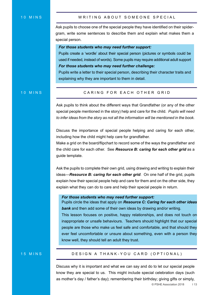Ask pupils to choose one of the special people they have identified on their spidergram, write some sentences to describe them and explain what makes them a special person.

#### *For those students who may need further support:*

Pupils create a 'wordle' about their special person (pictures or symbols could be used if needed, instead of words). Some pupils may require additional adult support *For those students who may need further challenge:* 

Pupils write a letter to their special person, describing their character traits and explaining why they are important to them in detail.

#### 10 MINS

#### CARING FOR EACH OTHER GRID

Ask pupils to think about the different ways that Grandfather (or any of the other special people mentioned in the story) help and care for the child. *Pupils will need to infer ideas from the story as not all the information will be mentioned in the book.*

Discuss the importance of special people helping and caring for each other, including how the child might help care for grandfather.

Make a grid on the board/flipchart to record some of the ways the grandfather and the child care for each other. See *Resource B: caring for each other grid* as a guide template.

Ask the pupils to complete their own grid, using drawing and writing to explain their ideas—*Resource B: caring for each other grid*. On one half of the grid, pupils explain how their special people help and care for them and on the other side, they explain what they can do to care and help their special people in return.

#### *For those students who may need further support:*

know well, they should tell an adult they trust.

Pupils circle the ideas that apply on *Resource C: Caring for each other ideas bank* and then add some of their own ideas by drawing and/or writing. This lesson focuses on positive, happy relationships, and does not touch on inappropriate or unsafe behaviours. Teachers should highlight that our special people are those who make us feel safe and comfortable, and that should they ever feel uncomfortable or unsure about something, even with a person they

#### 15 MINS

#### DESIGN A THANK-YOU CARD (OPTIONAL)

Discuss why it is important and what we can say and do to let our special people know they are special to us. This might include special celebration days (such as mother's day / father's day); remembering their birthday; giving gifts or simply,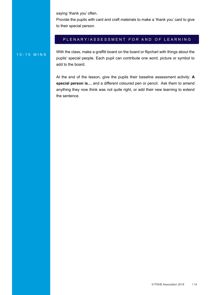saying 'thank you' often.

Provide the pupils with card and craft materials to make a 'thank you' card to give to their special person.

#### PLENARY/ASSESSMENT *FOR* AND *O F* LEARNING

10-15 MINS With the class, make a graffiti board on the board or flipchart with things about the pupils' special people. Each pupil can contribute one word, picture or symbol to add to the board.

> At the end of the lesson, give the pupils their baseline assessment activity: **A special person is…** and a different coloured pen or pencil. Ask them to amend anything they now think was not quite right, or add their new learning to extend the sentence.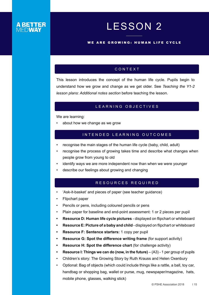# LESSON 2

#### <span id="page-14-0"></span>WE ARE GROWING: HUMAN LIFE CYCLE

#### CONTEXT

This lesson introduces the concept of the human life cycle. Pupils begin to understand how we grow and change as we get older. See *Teaching the Y1-2 lesson plans: Additional notes section* before teaching the lesson.

#### LEARNING OBJECTIVES

We are learning:

about how we change as we grow

### INTENDED LEARNING OUTCOMES

- recognise the main stages of the human life cycle (baby, child, adult)
- recognise the process of growing takes time and describe what changes when people grow from young to old
- identify ways we are more independent now than when we were younger
- describe our feelings about growing and changing

#### RESOURCES REQUIRED

- 'Ask-it-basket' and pieces of paper (see teacher guidance)
- Flipchart paper
- Pencils or pens, including coloured pencils or pens
- Plain paper for baseline and end-point assessment: 1 or 2 pieces per pupil
- **• Resource D: Human life cycle pictures** displayed on flipchart or whiteboard
- **• Resource E: Picture of a baby and child** displayed on flipchart or whiteboard
- **• Resource F: Sentence starters:** 1 copy per pupil
- **Resource G: Spot the difference writing frame (for support activity)**
- **• Resource H: Spot the difference chart** (for challenge activity)
- **• Resource I: Things we can do (now, in the future)** (A3) 1 per group of pupils
- Children's story: The Growing Story by Ruth Krauss and Helen Oxenbury
- Optional: Bag of objects (which could include things like a rattle, a ball, toy car, handbag or shopping bag, wallet or purse, mug, newspaper/magazine, hats, mobile phone, glasses, walking stick)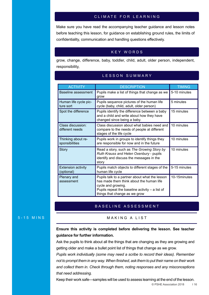#### CLIMATE FOR LEARNING

Make sure you have read the accompanying teacher guidance and lesson notes before teaching this lesson, for guidance on establishing ground rules, the limits of confidentiality, communication and handling questions effectively.

#### KEY WORDS

grow, change, difference, baby, toddler, child, adult, older person, independent, responsibility,

| <b>ACTIVITY</b>                         | <b>DESCRIPTION</b>                                                                                                                                                                                     | <b>TIMING</b> |
|-----------------------------------------|--------------------------------------------------------------------------------------------------------------------------------------------------------------------------------------------------------|---------------|
| Baseline assessment                     | Pupils make a list of things that change as we<br>grow                                                                                                                                                 | 5-10 minutes  |
| Human life cycle pic-<br>ture sort      | Pupils sequence pictures of the human life<br>cycle (baby, child, adult, older person)                                                                                                                 | 5 minutes     |
| Spot the difference                     | Pupils identify the difference between a baby<br>and a child and write about how they have<br>changed since being a baby.                                                                              | 15 minutes    |
| Class discussion:<br>different needs    | Class discussion about what babies need and<br>compare to the needs of people at different<br>stages of the life cycle                                                                                 | 10 minutes    |
| Thinking about re-<br>sponsibilities    | Pupils work in groups to identify things they<br>are responsible for now and in the future                                                                                                             | 10 minutes    |
| <b>Story</b>                            | Read a story, such as The Growing Story by<br>Ruth Krauss and Helen Oxenbury - pupils<br>identify and discuss the messages in the<br>story                                                             | 10 minutes    |
| <b>Extension activity</b><br>(optional) | Pupils match objects to different stages of the<br>human life cycle                                                                                                                                    | 5-15 minutes  |
| Plenary and<br>assessment               | Pupils talk to a partner about what the lesson<br>has made them think about the human life<br>cycle and growing.<br>Pupils repeat the baseline activity $-$ a list of<br>things that change as we grow | 10-15minutes  |

#### LESSON SUMMARY

#### BASELINE ASSESSMENT

#### 5-15 MINS MAKING A LIST

#### **Ensure this activity is completed before delivering the lesson. See teacher guidance for further information.**

Ask the pupils to think about all the things that are changing as they are growing and getting older and make a bullet point list of things that change as we grow.

*Pupils work individually (some may need a scribe to record their ideas). Remember not to prompt them in any way. When finished, ask them to put their name on their work and collect them in. Check through them, noting responses and any misconceptions that need addressing.*

Keep their work safe—samples will be used to assess learning at the end of the lesson.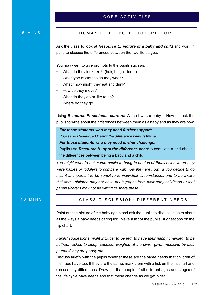#### CORE ACTIVITIES

#### 5 MINS

#### HUMAN LIFE CYCLE PICTURE SORT

Ask the class to look at *Resource E: picture of a baby and child* and work in pairs to discuss the differences between the two life stages.

You may want to give prompts to the pupils such as:

- What do they look like? (hair, height, teeth)
- What type of clothes do they wear?
- What / how might they eat and drink?
- How do they move?
- What do they do or like to do?
- Where do they go?

Using *Resource F: sentence starters:* When I was a baby… Now I… ask the pupils to write about the differences between them as a baby and as they are now.

*For those students who may need further support:*  Pupils use *Resource G: spot the difference writing frame For those students who may need further challenge:* 

Pupils use *Resource H: spot the difference chart* to complete a grid about the differences between being a baby and a child

*You might want to ask some pupils to bring in photos of themselves when they were babies or toddlers to compare with how they are now. If you decide to do this, it is important to be sensitive to individual circumstances and to be aware that some children may not have photographs from their early childhood or that parents/carers may not be willing to share these.* 

#### 10 MINS

#### CLASS DISCUSSION: DIFFERENT NEEDS

Point out the picture of the baby again and ask the pupils to discuss in pairs about all the ways a baby needs caring for. Make a list of the pupils' suggestions on the flip chart.

*Pupils' suggestions might include: to be fed, to have their nappy changed, to be bathed, rocked to sleep, cuddled, weighed at the clinic, given medicine by their parent if they are poorly etc.* 

Discuss briefly with the pupils whether these are the same needs that children of their age have too. If they are the same, mark them with a tick on the flipchart and discuss any differences. Draw out that people of all different ages and stages of the life cycle have needs and that these change as we get older.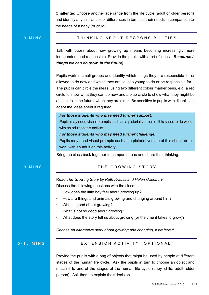**Challenge:** Choose another age range from the life cycle (adult or older person) and identify any similarities or differences in terms of their needs in comparison to the needs of a baby (or child).

#### 10 MINS

#### THINKING ABOUT RESPONSIBILITIES

Talk with pupils about how growing up means becoming increasingly more independent and responsible. Provide the pupils with a list of ideas—*Resource I: things we can do (now, in the future)*.

Pupils work in small groups and identify which things they are responsible for or allowed to do now and which they are still too young to do or be responsible for. The pupils can circle the ideas, using two different colour marker pens, e.g. a red circle to show what they can do now and a blue circle to show what they might be able to do in the future, when they are older. Be sensitive to pupils with disabilities, adapt the ideas sheet if required.

#### *For those students who may need further support:*

Pupils may need visual prompts such as a pictorial version of this sheet, or to work with an adult on this activity.

#### *For those students who may need further challenge:*

Pupils may need visual prompts such as a pictorial version of this sheet, or to work with an adult on this activity.

Bring the class back together to compare ideas and share their thinking.

#### 10 MINS

#### THE GROWING STORY

Read *The Growing Story by Ruth Krauss and Helen Oxenbury.* 

Discuss the following questions with the class:

- How does the little boy feel about growing up?
- How are things and animals growing and changing around him?
- What is good about growing?
- What is not so good about growing?
- What does the story tell us about growing (or the time it takes to grow)?

*Choose an alternative story about growing and changing, if preferred.*

#### 5-10 MINS

#### EXTENSION ACTIVITY (OPTIONAL)

Provide the pupils with a bag of objects that might be used by people at different stages of the human life cycle. Ask the pupils in turn to choose an object and match it to one of the stages of the human life cycle (baby, child, adult, older person). Ask them to explain their decision.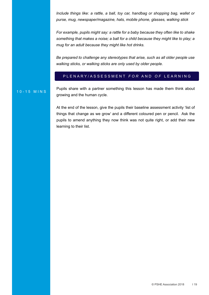*Include things like: a rattle, a ball, toy car, handbag or shopping bag, wallet or purse, mug, newspaper/magazine, hats, mobile phone, glasses, walking stick*

*For example, pupils might say: a rattle for a baby because they often like to shake something that makes a noise; a ball for a child because they might like to play; a mug for an adult because they might like hot drinks.* 

*Be prepared to challenge any stereotypes that arise, such as all older people use walking sticks, or walking sticks are only used by older people.*

#### PLENARY/ASSESSMENT *FOR* AND *O F* LEARNING

10-15 MINS Pupils share with a partner something this lesson has made them think about growing and the human cycle.

> At the end of the lesson, give the pupils their baseline assessment activity 'list of things that change as we grow' and a different coloured pen or pencil. Ask the pupils to amend anything they now think was not quite right, or add their new learning to their list.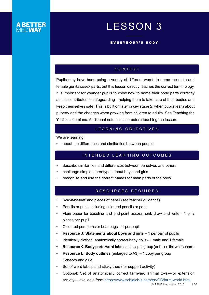# LESSON 3

#### EVERYBODY'S BODY

### CONTEXT

<span id="page-19-0"></span>Pupils may have been using a variety of different words to name the male and female genitalia/sex parts, but this lesson directly teaches the correct terminology. It is important for younger pupils to know how to name their body parts correctly as this contributes to safeguarding—helping them to take care of their bodies and keep themselves safe. This is built on later in key stage 2, when pupils learn about puberty and the changes when growing from children to adults. See Teaching the Y1-2 lesson plans: Additional notes section before teaching the lesson.

#### LEARNING OBJECTIVES

We are learning:

• about the differences and similarities between people

#### INTENDED LEARNING OUTCOMES

- describe similarities and differences between ourselves and others
- challenge simple stereotypes about boys and girls
- recognise and use the correct names for main parts of the body

### RESOURCES REQUIRED

- 'Ask-it-basket' and pieces of paper (see teacher guidance)
- Pencils or pens, including coloured pencils or pens
- Plain paper for baseline and end-point assessment: draw and write 1 or 2 pieces per pupil
- Coloured pompoms or beanbags 1 per pupil
- **• Resource J: Statements about boys and girls** 1 per pair of pupils
- Identically clothed, anatomically correct baby dolls 1 male and 1 female
- **• Resource K: Body parts word labels** 1 set per group (or list on the whiteboard)
- **• Resource L: Body outlines** (enlarged to A3) 1 copy per group
- Scissors and glue
- Set of word labels and sticky tape (for support activity)
- Optional: Set of anatomically correct farmyard animal toys—for extension activity— available from <https://www.schleich-s.com/en/GB/farm-world.html>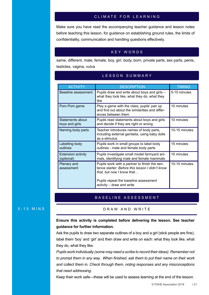#### CLIMATE FOR LEARNING

Make sure you have read the accompanying teacher guidance and lesson notes before teaching this lesson, for guidance on establishing ground rules, the limits of confidentiality, communication and handling questions effectively.

#### KEY WORDS

same, different, male, female, boy, girl, body, born, private parts, sex parts, penis, testicles, vagina, vulva

| <b>ACTIVITY</b>                         | <b>DESCRIPTION</b>                                                                                                                                                                                  | <b>TIMING</b> |
|-----------------------------------------|-----------------------------------------------------------------------------------------------------------------------------------------------------------------------------------------------------|---------------|
| <b>Baseline assessment</b>              | Pupils draw and write about boys and girls -<br>what they look like, what they do, what they<br>like                                                                                                | 5-15 minutes  |
| Pom Pom game                            | Play a game with the class, pupils' pair up<br>and find out about the similarities and differ-<br>ences between them                                                                                | 10 minutes    |
| Statements about<br>boys and girls      | Pupils read statements about boys and girls<br>and decide if they are right or wrong                                                                                                                | 10 minutes    |
| Naming body parts                       | Teacher introduces names of body parts,<br>including external genitalia, using baby dolls<br>as a stimulus                                                                                          | 10-15 minutes |
| Labelling body<br>outlines              | Pupils work in small groups to label body<br>outlines - male and female body parts                                                                                                                  | 15 minutes    |
| <b>Extension activity</b><br>(optional) | Pupils investigate small model farmyard ani-<br>mals, identifying male and female mammals                                                                                                           | 10 minutes    |
| Plenary and<br>assessment               | Pupils work with a partner to finish the sen-<br>tence starter: Before this lesson I didn't know<br>that, but now I know that<br>Pupils repeat the baseline assessment<br>activity - draw and write | 10-15 minutes |

#### LESSON SUMMARY

#### BASELINE ASSESSMENT

#### 5-15 MINS DRAW AND WRITE

#### **Ensure this activity is completed before delivering the lesson. See teacher guidance for further information.**

Ask the pupils to draw two separate outlines of a boy and a girl (stick people are fine), label them 'boy' and 'girl' and then draw and write on each: what they look like, what they do, what they like.

*Pupils work individually (some may need a scribe to record their ideas). Remember not to prompt them in any way. When finished, ask them to put their name on their work and collect them in. Check through them, noting responses and any misconceptions that need addressing.*

Keep their work safe—these will be used to assess learning at the end of the lesson.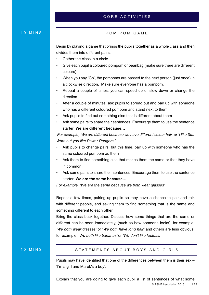#### CORE ACTIVITIES

#### 10 MINS

#### POM POM GAME

Begin by playing a game that brings the pupils together as a whole class and then divides them into different pairs.

- Gather the class in a circle
- Give each pupil a coloured pompom or beanbag (make sure there are different colours)
- When you say 'Go', the pompoms are passed to the next person (just once) in a clockwise direction. Make sure everyone has a pompom.
- Repeat a couple of times: you can speed up or slow down or change the direction.
- After a couple of minutes, ask pupils to spread out and pair up with someone who has a different coloured pompom and stand next to them.
- Ask pupils to find out something else that is different about them.
- Ask some pairs to share their sentences. Encourage them to use the sentence starter: **We are different because…**

 *For example, 'We are different because we have different colour hair' or 'I like Star Wars but you like Power Rangers.'* 

- Ask pupils to change pairs, but this time, pair up with someone who has the same coloured pompom as them
- Ask them to find something else that makes them the same or that they have in common
- Ask some pairs to share their sentences. Encourage them to use the sentence starter: **We are the same because…**

*For example, 'We are the same because we both wear glasses'*

Repeat a few times, pairing up pupils so they have a chance to pair and talk with different people, and asking them to find something that is the same and something different to each other.

Bring the class back together. Discuss how some things that are the same or different can be seen immediately, (such as how someone looks), for example: *'We both wear glasses'* or '*We both have long hair'* and others are less obvious, for example: '*We both like bananas'* or *'We don't like football.'*

#### 10 MINS

#### STATEMENTS ABOUT BOYS AND GIRLS

Pupils may have identified that one of the differences between them is their sex – 'I'm a girl and Marek's a boy'.

© PSHE Association 2018 I 22 Explain that you are going to give each pupil a list of sentences of what some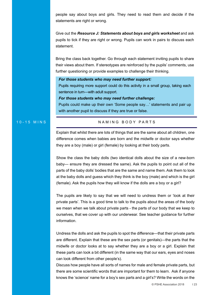people say about boys and girls. They need to read them and decide if the statements are right or wrong.

Give out the *Resource J: Statements about boys and girls worksheet* and ask pupils to tick if they are right or wrong. Pupils can work in pairs to discuss each statement.

Bring the class back together. Go through each statement inviting pupils to share their views about them. If stereotypes are reinforced by the pupils' comments, use further questioning or provide examples to challenge their thinking.

#### *For those students who may need further support:*

Pupils requiring more support could do this activity in a small group, taking each sentence in turn—with adult support.

*For those students who may need further challenge:* 

Pupils could make up their own 'Some people say…' statements and pair up with another pupil to discuss if they are true or false.

#### 10-15 MINS NAMING BODY PARTS

Explain that whilst there are lots of things that are the same about all children, one difference comes when babies are born and the midwife or doctor says whether they are a boy (male) or girl (female) by looking at their body parts.

Show the class the baby dolls (two identical dolls about the size of a new-born baby— ensure they are dressed the same). Ask the pupils to point out all of the parts of the baby dolls' bodies that are the same and name them. Ask them to look at the baby dolls and guess which they think is the boy (male) and which is the girl (female). Ask the pupils how they will know if the dolls are a boy or a girl?

The pupils are likely to say that we will need to undress them or 'look at their private parts'. This is a good time to talk to the pupils about the areas of the body we mean when we talk about private parts - the parts of our body that we keep to ourselves, that we cover up with our underwear. See teacher guidance for further information.

Undress the dolls and ask the pupils to spot the difference—that their private parts are different. Explain that these are the sex parts (or genitals)—the parts that the midwife or doctor looks at to say whether they are a boy or a girl. Explain that these parts can look a bit different (in the same way that our ears, eyes and noses can look different from other people's).

Discuss how people have all sorts of names for male and female private parts, but there are some scientific words that are important for them to learn. Ask if anyone knows the 'science' name for a boy's sex parts and a girl's? Write the words on the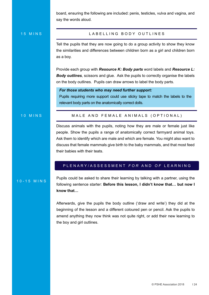board, ensuring the following are included: penis, testicles, vulva and vagina, and say the words aloud.

15 MINS

#### LABELLING BODY OUTLINES

Tell the pupils that they are now going to do a group activity to show they know the similarities and differences between children born as a girl and children born as a boy.

Provide each group with *Resource K: Body parts* word labels and *Resource L:*  **Body outlines**, scissors and glue. Ask the pupils to correctly organise the labels on the body outlines. Pupils can draw arrows to label the body parts.

#### *For those students who may need further support:*

Pupils requiring more support could use sticky tape to match the labels to the relevant body parts on the anatomically correct dolls.

#### 10 MINS

#### MALE AND FEMALE ANIMALS (OPTIONAL)

Discuss animals with the pupils, noting how they are male or female just like people. Show the pupils a range of anatomically correct farmyard animal toys. Ask them to identify which are male and which are female. You might also want to discuss that female mammals give birth to the baby mammals, and that most feed their babies with their teats.

#### PLENARY/ASSESSMENT *FOR* AND *O F* LEARNING

10-15 MINS Pupils could be asked to share their learning by talking with a partner, using the following sentence starter: **Before this lesson, I didn't know that… but now I know that…**

> Afterwards, give the pupils the body outline ('draw and write') they did at the beginning of the lesson and a different coloured pen or pencil. Ask the pupils to amend anything they now think was not quite right, or add their new learning to the boy and girl outlines.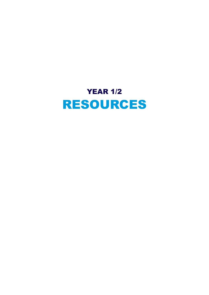<span id="page-24-0"></span>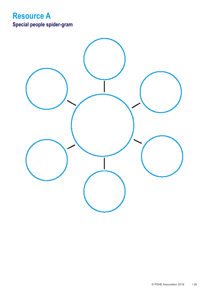# <span id="page-25-0"></span>**Resource A Special people spider-gram**

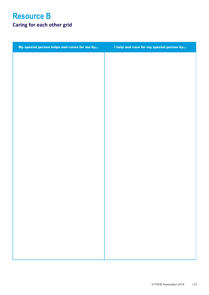<span id="page-26-0"></span>

| I help and care for my special person by |
|------------------------------------------|
|                                          |
|                                          |
|                                          |
|                                          |
|                                          |
|                                          |
|                                          |
|                                          |
|                                          |
|                                          |
|                                          |
|                                          |
|                                          |
|                                          |
|                                          |
|                                          |
|                                          |
|                                          |
|                                          |
|                                          |
|                                          |
|                                          |
|                                          |
|                                          |
|                                          |
|                                          |
|                                          |
|                                          |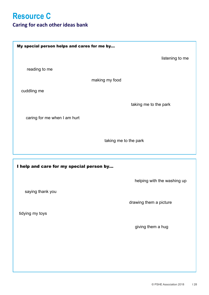# <span id="page-27-0"></span>**Resource C**

## **Caring for each other ideas bank**

| My special person helps and cares for me by |                             |
|---------------------------------------------|-----------------------------|
|                                             | listening to me             |
| reading to me                               |                             |
| making my food                              |                             |
| cuddling me                                 |                             |
|                                             | taking me to the park       |
| caring for me when I am hurt                |                             |
|                                             |                             |
| taking me to the park                       |                             |
|                                             |                             |
| I help and care for my special person by    |                             |
|                                             | helping with the washing up |
| saying thank you                            |                             |
|                                             | drawing them a picture      |
| tidying my toys                             |                             |
|                                             | giving them a hug           |
|                                             |                             |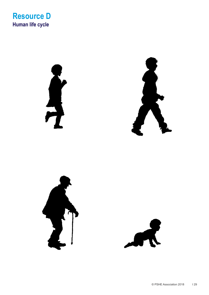<span id="page-28-0"></span>

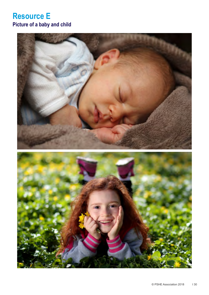# <span id="page-29-0"></span>**Resource E Picture of a baby and child**

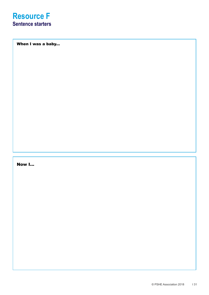<span id="page-30-0"></span>When I was a baby...

## Now I...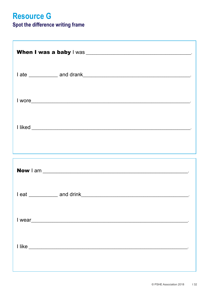# <span id="page-31-0"></span>**Resource G**

## Spot the difference writing frame

| ,我们也不能在这里,我们也不能不能不能不能不能不能不能不能不能不能不能不能不能不能不能不能不能。<br>第2012章 我们的人,我们的人都不能不能不能不能不能不能不能不能不能不能 |  |
|-------------------------------------------------------------------------------------------|--|
|                                                                                           |  |
|                                                                                           |  |
|                                                                                           |  |
|                                                                                           |  |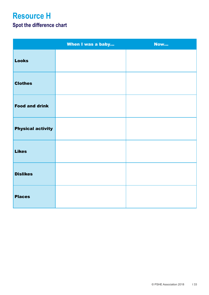# <span id="page-32-0"></span>**Resource H**

## **Spot the difference chart**

|                          | When I was a baby | <b>Now</b> |
|--------------------------|-------------------|------------|
| <b>Looks</b>             |                   |            |
| <b>Clothes</b>           |                   |            |
| <b>Food and drink</b>    |                   |            |
| <b>Physical activity</b> |                   |            |
| <b>Likes</b>             |                   |            |
| <b>Dislikes</b>          |                   |            |
| <b>Places</b>            |                   |            |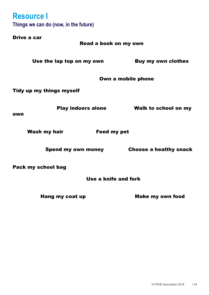<span id="page-33-0"></span>**Resource I Things we can do (now, in the future)** Drive a car

 Read a book on my own Use the lap top on my own Buy my own clothes Own a mobile phone Tidy up my things myself Play indoors alone Walk to school on my own Wash my hair Feed my pet Spend my own money Choose a healthy snack Pack my school bag

Use a knife and fork

Hang my coat up Make my own food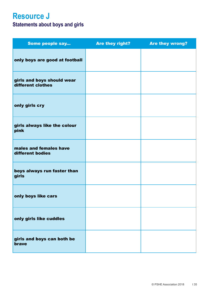# <span id="page-34-0"></span>**Resource J**

## **Statements about boys and girls**

| Some people say                                 | Are they right? | <b>Are they wrong?</b> |
|-------------------------------------------------|-----------------|------------------------|
| only boys are good at football                  |                 |                        |
| girls and boys should wear<br>different clothes |                 |                        |
| only girls cry                                  |                 |                        |
| girls always like the colour<br>pink            |                 |                        |
| males and females have<br>different bodies      |                 |                        |
| boys always run faster than<br>girls            |                 |                        |
| only boys like cars                             |                 |                        |
| only girls like cuddles                         |                 |                        |
| girls and boys can both be<br>brave             |                 |                        |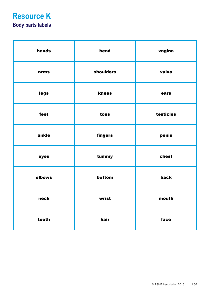# <span id="page-35-0"></span>**Resource K Body parts labels**

| hands  | head      | vagina    |
|--------|-----------|-----------|
| arms   | shoulders | vulva     |
| legs   | knees     | ears      |
| feet   | toes      | testicles |
| ankle  | fingers   | penis     |
| eyes   | tummy     | chest     |
| elbows | bottom    | back      |
| neck   | wrist     | mouth     |
| teeth  | hair      | face      |